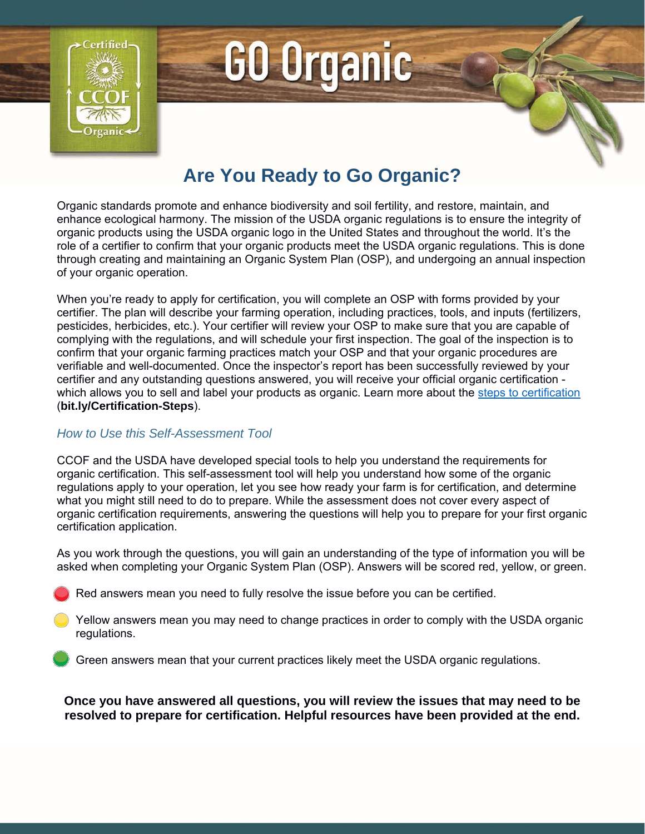

# **GO Organic**

# **Are You Ready to Go Organic?**

Organic standards promote and enhance biodiversity and soil fertility, and restore, maintain, and enhance ecological harmony. The mission of the USDA organic regulations is to ensure the integrity of organic products using the USDA organic logo in the United States and throughout the world. It's the role of a certifier to confirm that your organic products meet the USDA organic regulations. This is done through creating and maintaining an Organic System Plan (OSP), and undergoing an annual inspection of your organic operation.

When you're ready to apply for certification, you will complete an OSP with forms provided by your certifier. The plan will describe your farming operation, including practices, tools, and inputs (fertilizers, pesticides, herbicides, etc.). Your certifier will review your OSP to make sure that you are capable of complying with the regulations, and will schedule your first inspection. The goal of the inspection is to confirm that your organic farming practices match your OSP and that your organic procedures are verifiable and well-documented. Once the inspector's report has been successfully reviewed by your certifier and any outstanding questions answered, you will receive your official organic certification which allows you to sell and label your products as organic. Learn more about the steps to certification (**bit.ly/Certification-Steps**).

#### *How to Use this Self-Assessment Tool*

CCOF and the USDA have developed special tools to help you understand the requirements for organic certification. This self-assessment tool will help you understand how some of the organic regulations apply to your operation, let you see how ready your farm is for certification, and determine what you might still need to do to prepare. While the assessment does not cover every aspect of organic certification requirements, answering the questions will help you to prepare for your first organic certification application.

As you work through the questions, you will gain an understanding of the type of information you will be asked when completing your Organic System Plan (OSP). Answers will be scored red, yellow, or green.

- Red answers mean you need to fully resolve the issue before you can be certified.
- Yellow answers mean you may need to change practices in order to comply with the USDA organic regulations.

Green answers mean that your current practices likely meet the USDA organic regulations.

**Once you have answered all questions, you will review the issues that may need to be resolved to prepare for certification. Helpful resources have been provided at the end.**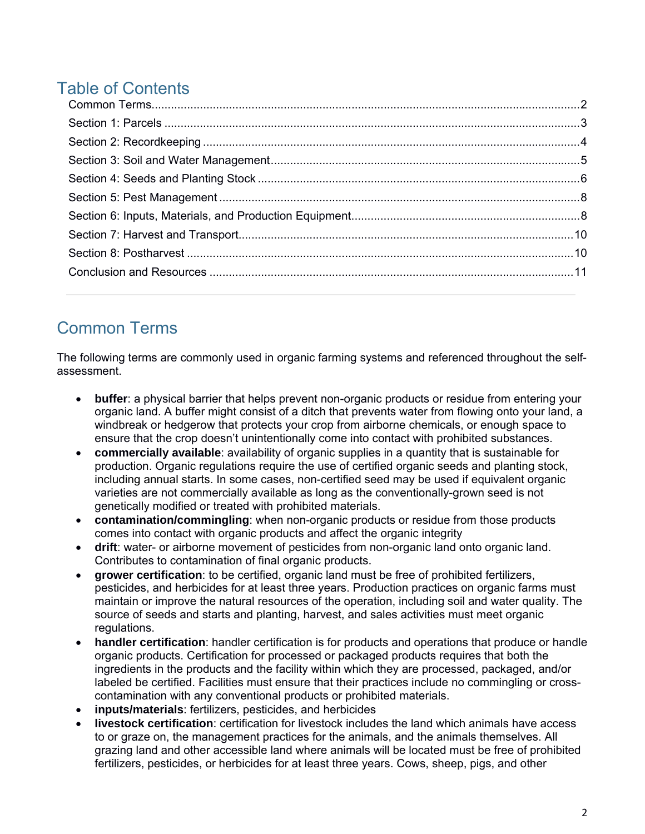# Table of Contents

## Common Terms

The following terms are commonly used in organic farming systems and referenced throughout the selfassessment.

- **buffer**: a physical barrier that helps prevent non-organic products or residue from entering your organic land. A buffer might consist of a ditch that prevents water from flowing onto your land, a windbreak or hedgerow that protects your crop from airborne chemicals, or enough space to ensure that the crop doesn't unintentionally come into contact with prohibited substances.
- **commercially available**: availability of organic supplies in a quantity that is sustainable for production. Organic regulations require the use of certified organic seeds and planting stock, including annual starts. In some cases, non-certified seed may be used if equivalent organic varieties are not commercially available as long as the conventionally-grown seed is not genetically modified or treated with prohibited materials.
- **contamination/commingling**: when non-organic products or residue from those products comes into contact with organic products and affect the organic integrity
- **drift**: water- or airborne movement of pesticides from non-organic land onto organic land. Contributes to contamination of final organic products.
- **grower certification**: to be certified, organic land must be free of prohibited fertilizers, pesticides, and herbicides for at least three years. Production practices on organic farms must maintain or improve the natural resources of the operation, including soil and water quality. The source of seeds and starts and planting, harvest, and sales activities must meet organic regulations.
- **handler certification**: handler certification is for products and operations that produce or handle organic products. Certification for processed or packaged products requires that both the ingredients in the products and the facility within which they are processed, packaged, and/or labeled be certified. Facilities must ensure that their practices include no commingling or crosscontamination with any conventional products or prohibited materials.
- **inputs/materials**: fertilizers, pesticides, and herbicides
- **livestock certification**: certification for livestock includes the land which animals have access to or graze on, the management practices for the animals, and the animals themselves. All grazing land and other accessible land where animals will be located must be free of prohibited fertilizers, pesticides, or herbicides for at least three years. Cows, sheep, pigs, and other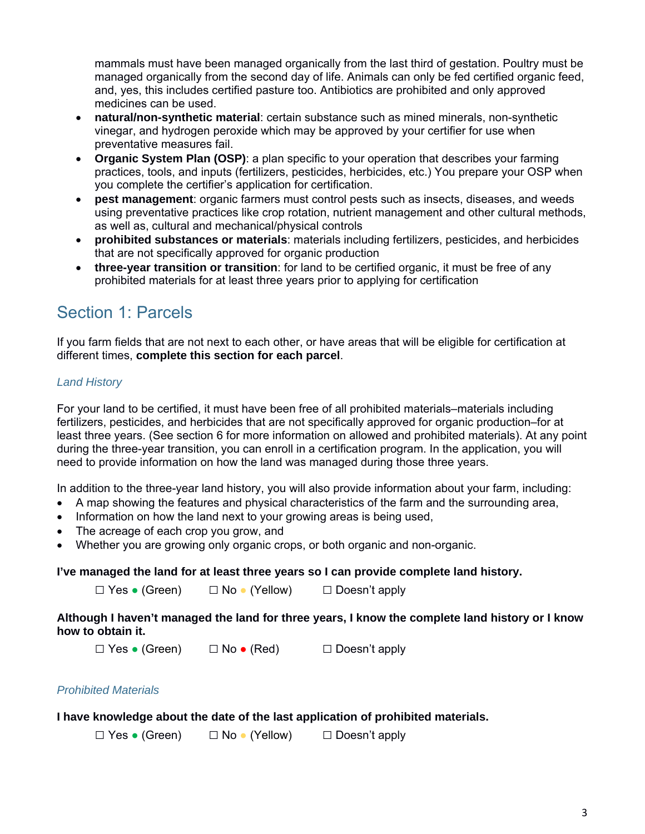mammals must have been managed organically from the last third of gestation. Poultry must be managed organically from the second day of life. Animals can only be fed certified organic feed, and, yes, this includes certified pasture too. Antibiotics are prohibited and only approved medicines can be used.

- **natural/non-synthetic material**: certain substance such as mined minerals, non-synthetic vinegar, and hydrogen peroxide which may be approved by your certifier for use when preventative measures fail.
- **Organic System Plan (OSP)**: a plan specific to your operation that describes your farming practices, tools, and inputs (fertilizers, pesticides, herbicides, etc.) You prepare your OSP when you complete the certifier's application for certification.
- **pest management**: organic farmers must control pests such as insects, diseases, and weeds using preventative practices like crop rotation, nutrient management and other cultural methods, as well as, cultural and mechanical/physical controls
- **prohibited substances or materials**: materials including fertilizers, pesticides, and herbicides that are not specifically approved for organic production
- **three-year transition or transition**: for land to be certified organic, it must be free of any prohibited materials for at least three years prior to applying for certification

# Section 1: Parcels

If you farm fields that are not next to each other, or have areas that will be eligible for certification at different times, **complete this section for each parcel**.

### *Land History*

For your land to be certified, it must have been free of all prohibited materials–materials including fertilizers, pesticides, and herbicides that are not specifically approved for organic production–for at least three years. (See section 6 for more information on allowed and prohibited materials). At any point during the three-year transition, you can enroll in a certification program. In the application, you will need to provide information on how the land was managed during those three years.

In addition to the three-year land history, you will also provide information about your farm, including:

- A map showing the features and physical characteristics of the farm and the surrounding area,
- Information on how the land next to your growing areas is being used,
- The acreage of each crop you grow, and
- Whether you are growing only organic crops, or both organic and non-organic.

#### **I've managed the land for at least three years so I can provide complete land history.**

 $\square$  Yes  $\bullet$  (Green)  $\square$  No  $\bullet$  (Yellow)  $\square$  Doesn't apply

**Although I haven't managed the land for three years, I know the complete land history or I know how to obtain it.**

 $\Box$  Yes • (Green)  $\Box$  No • (Red)  $\Box$  Doesn't apply

#### *Prohibited Materials*

#### **I have knowledge about the date of the last application of prohibited materials.**

 $\square$  Yes • (Green)  $\square$  No • (Yellow)  $\square$  Doesn't apply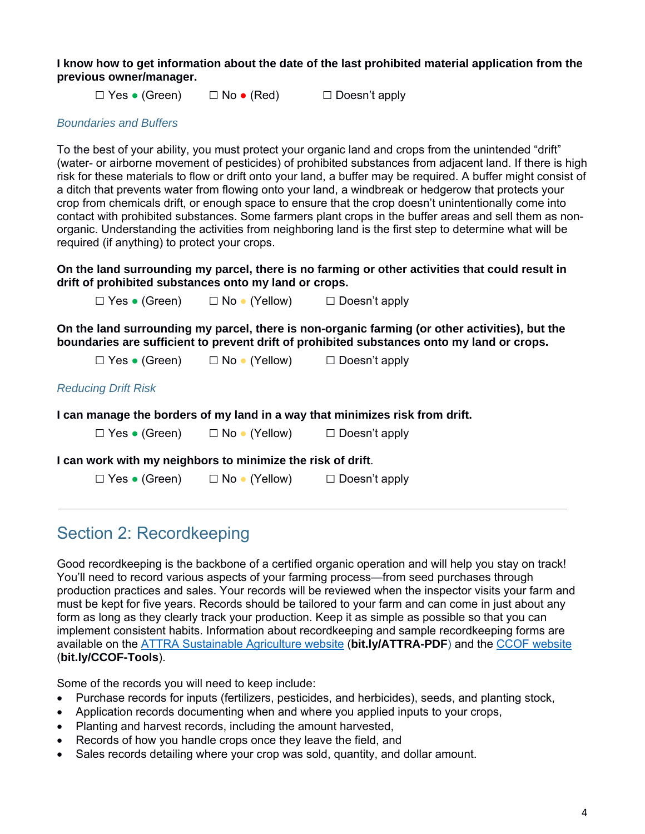**I know how to get information about the date of the last prohibited material application from the previous owner/manager.**

 $\square$  Yes • (Green)  $\square$  No • (Red)  $\square$  Doesn't apply

#### *Boundaries and Buffers*

To the best of your ability, you must protect your organic land and crops from the unintended "drift" (water- or airborne movement of pesticides) of prohibited substances from adjacent land. If there is high risk for these materials to flow or drift onto your land, a buffer may be required. A buffer might consist of a ditch that prevents water from flowing onto your land, a windbreak or hedgerow that protects your crop from chemicals drift, or enough space to ensure that the crop doesn't unintentionally come into contact with prohibited substances. Some farmers plant crops in the buffer areas and sell them as nonorganic. Understanding the activities from neighboring land is the first step to determine what will be required (if anything) to protect your crops.

**On the land surrounding my parcel, there is no farming or other activities that could result in drift of prohibited substances onto my land or crops.**

 $\square$  Yes  $\bullet$  (Green)  $\square$  No  $\bullet$  (Yellow)  $\square$  Doesn't apply

**On the land surrounding my parcel, there is non-organic farming (or other activities), but the boundaries are sufficient to prevent drift of prohibited substances onto my land or crops.**

 $\square$  Yes • (Green)  $\square$  No • (Yellow)  $\square$  Doesn't apply

#### *Reducing Drift Risk*

#### **I can manage the borders of my land in a way that minimizes risk from drift.**

| $\Box$ Yes • (Green) | $\Box$ No $\bullet$ (Yellow) | $\Box$ Doesn't apply |
|----------------------|------------------------------|----------------------|
|                      |                              |                      |

**I can work with my neighbors to minimize the risk of drift**.

 $\Box$  Yes • (Green)  $\Box$  No • (Yellow)  $\Box$  Doesn't apply

## Section 2: Recordkeeping

Good recordkeeping is the backbone of a certified organic operation and will help you stay on track! You'll need to record various aspects of your farming process—from seed purchases through production practices and sales. Your records will be reviewed when the inspector visits your farm and must be kept for five years. Records should be tailored to your farm and can come in just about any form as long as they clearly track your production. Keep it as simple as possible so that you can implement consistent habits. Information about recordkeeping and sample recordkeeping forms are available on the ATTRA Sustainable Agriculture website (**bit.ly/ATTRA-PDF**) and the CCOF website (**bit.ly/CCOF-Tools**).

Some of the records you will need to keep include:

- Purchase records for inputs (fertilizers, pesticides, and herbicides), seeds, and planting stock,
- Application records documenting when and where you applied inputs to your crops,
- Planting and harvest records, including the amount harvested,
- Records of how you handle crops once they leave the field, and
- Sales records detailing where your crop was sold, quantity, and dollar amount.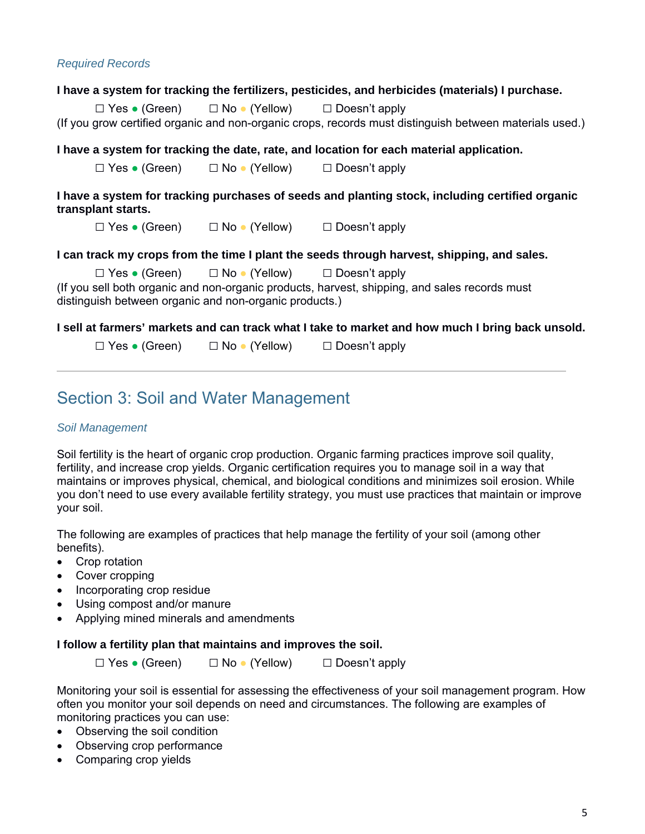#### *Required Records*

#### **I have a system for tracking the fertilizers, pesticides, and herbicides (materials) I purchase.**

 $\Box$  Yes • (Green)  $\Box$  No • (Yellow)  $\Box$  Doesn't apply (If you grow certified organic and non-organic crops, records must distinguish between materials used.)

**I have a system for tracking the date, rate, and location for each material application.**

 $\Box$  Yes  $\bullet$  (Green)  $\Box$  No  $\bullet$  (Yellow)  $\Box$  Doesn't apply

**I have a system for tracking purchases of seeds and planting stock, including certified organic transplant starts.** 

 $\square$  Yes  $\bullet$  (Green)  $\square$  No  $\bullet$  (Yellow)  $\square$  Doesn't apply

#### **I can track my crops from the time I plant the seeds through harvest, shipping, and sales.**

 $\square$  Yes • (Green)  $\square$  No • (Yellow)  $\square$  Doesn't apply (If you sell both organic and non-organic products, harvest, shipping, and sales records must

distinguish between organic and non-organic products.)

#### **I sell at farmers' markets and can track what I take to market and how much I bring back unsold.**

 $\Box$  Yes • (Green)  $\Box$  No • (Yellow)  $\Box$  Doesn't apply

## Section 3: Soil and Water Management

#### *Soil Management*

Soil fertility is the heart of organic crop production. Organic farming practices improve soil quality, fertility, and increase crop yields. Organic certification requires you to manage soil in a way that maintains or improves physical, chemical, and biological conditions and minimizes soil erosion. While you don't need to use every available fertility strategy, you must use practices that maintain or improve your soil.

The following are examples of practices that help manage the fertility of your soil (among other benefits).

- Crop rotation
- Cover cropping
- Incorporating crop residue
- Using compost and/or manure
- Applying mined minerals and amendments

#### **I follow a fertility plan that maintains and improves the soil.**

 $\Box$  Yes • (Green)  $\Box$  No • (Yellow)  $\Box$  Doesn't apply

Monitoring your soil is essential for assessing the effectiveness of your soil management program. How often you monitor your soil depends on need and circumstances. The following are examples of monitoring practices you can use:

- Observing the soil condition
- Observing crop performance
- Comparing crop yields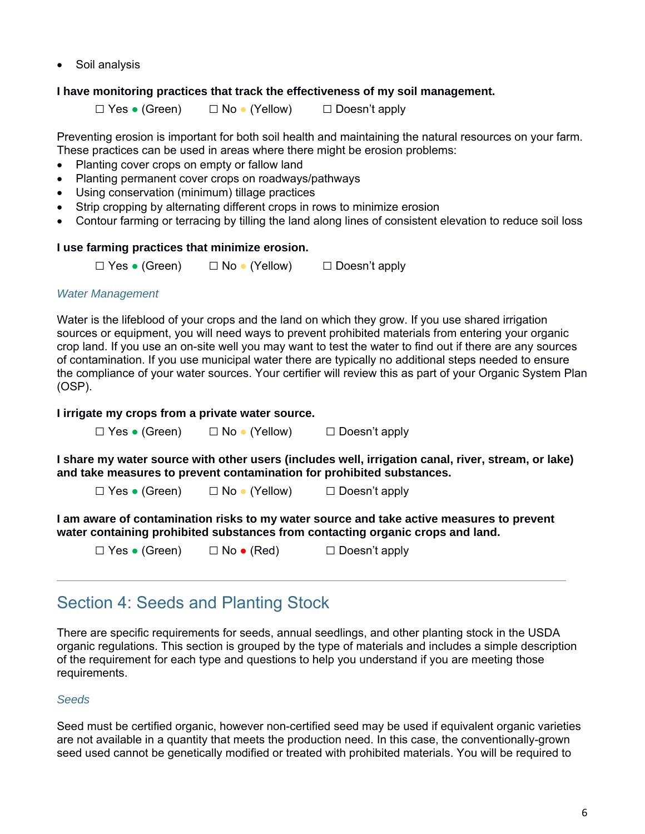Soil analysis

#### **I have monitoring practices that track the effectiveness of my soil management.**

 $\Box$  Yes  $\bullet$  (Green)  $\Box$  No  $\bullet$  (Yellow)  $\Box$  Doesn't apply

Preventing erosion is important for both soil health and maintaining the natural resources on your farm. These practices can be used in areas where there might be erosion problems:

- Planting cover crops on empty or fallow land
- Planting permanent cover crops on roadways/pathways
- Using conservation (minimum) tillage practices
- Strip cropping by alternating different crops in rows to minimize erosion
- Contour farming or terracing by tilling the land along lines of consistent elevation to reduce soil loss

#### **I use farming practices that minimize erosion.**

 $\Box$  Yes  $\bullet$  (Green)  $\Box$  No  $\bullet$  (Yellow)  $\Box$  Doesn't apply

#### *Water Management*

Water is the lifeblood of your crops and the land on which they grow. If you use shared irrigation sources or equipment, you will need ways to prevent prohibited materials from entering your organic crop land. If you use an on-site well you may want to test the water to find out if there are any sources of contamination. If you use municipal water there are typically no additional steps needed to ensure the compliance of your water sources. Your certifier will review this as part of your Organic System Plan (OSP).

#### **I irrigate my crops from a private water source.**

 $\Box$  Yes • (Green)  $\Box$  No • (Yellow)  $\Box$  Doesn't apply

**I share my water source with other users (includes well, irrigation canal, river, stream, or lake) and take measures to prevent contamination for prohibited substances.** 

 $\Box$  Yes  $\bullet$  (Green)  $\Box$  No  $\bullet$  (Yellow)  $\Box$  Doesn't apply

**I am aware of contamination risks to my water source and take active measures to prevent water containing prohibited substances from contacting organic crops and land.** 

 $\Box$  Yes • (Green)  $\Box$  No • (Red)  $\Box$  Doesn't apply

## Section 4: Seeds and Planting Stock

There are specific requirements for seeds, annual seedlings, and other planting stock in the USDA organic regulations. This section is grouped by the type of materials and includes a simple description of the requirement for each type and questions to help you understand if you are meeting those requirements.

#### *Seeds*

Seed must be certified organic, however non-certified seed may be used if equivalent organic varieties are not available in a quantity that meets the production need. In this case, the conventionally-grown seed used cannot be genetically modified or treated with prohibited materials. You will be required to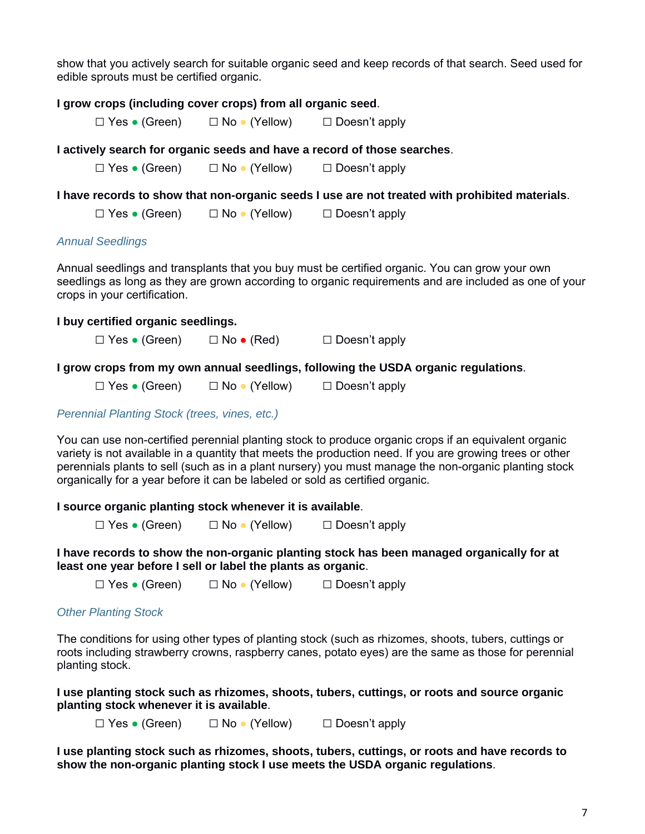show that you actively search for suitable organic seed and keep records of that search. Seed used for edible sprouts must be certified organic.

#### **I grow crops (including cover crops) from all organic seed**.

 $\Box$  Yes • (Green)  $\Box$  No • (Yellow)  $\Box$  Doesn't apply

#### **I actively search for organic seeds and have a record of those searches**.

 $\Box$  Yes  $\bullet$  (Green)  $\Box$  No  $\bullet$  (Yellow)  $\Box$  Doesn't apply

**I have records to show that non-organic seeds I use are not treated with prohibited materials**.

 $\Box$  Yes • (Green)  $\Box$  No • (Yellow)  $\Box$  Doesn't apply

#### *Annual Seedlings*

Annual seedlings and transplants that you buy must be certified organic. You can grow your own seedlings as long as they are grown according to organic requirements and are included as one of your crops in your certification.

#### **I buy certified organic seedlings.**

 $\Box$  Yes • (Green)  $\Box$  No • (Red)  $\Box$  Doesn't apply

#### **I grow crops from my own annual seedlings, following the USDA organic regulations**.

 $\Box$  Yes • (Green)  $\Box$  No • (Yellow)  $\Box$  Doesn't apply

*Perennial Planting Stock (trees, vines, etc.)* 

You can use non-certified perennial planting stock to produce organic crops if an equivalent organic variety is not available in a quantity that meets the production need. If you are growing trees or other perennials plants to sell (such as in a plant nursery) you must manage the non-organic planting stock organically for a year before it can be labeled or sold as certified organic.

#### **I source organic planting stock whenever it is available**.

 $\Box$  Yes • (Green)  $\Box$  No • (Yellow)  $\Box$  Doesn't apply

**I have records to show the non-organic planting stock has been managed organically for at least one year before I sell or label the plants as organic**.

 $\Box$  Yes • (Green)  $\Box$  No • (Yellow)  $\Box$  Doesn't apply

#### *Other Planting Stock*

The conditions for using other types of planting stock (such as rhizomes, shoots, tubers, cuttings or roots including strawberry crowns, raspberry canes, potato eyes) are the same as those for perennial planting stock.

**I use planting stock such as rhizomes, shoots, tubers, cuttings, or roots and source organic planting stock whenever it is available**.

 $\square$  Yes  $\bullet$  (Green)  $\square$  No  $\bullet$  (Yellow)  $\square$  Doesn't apply

**I use planting stock such as rhizomes, shoots, tubers, cuttings, or roots and have records to show the non-organic planting stock I use meets the USDA organic regulations**.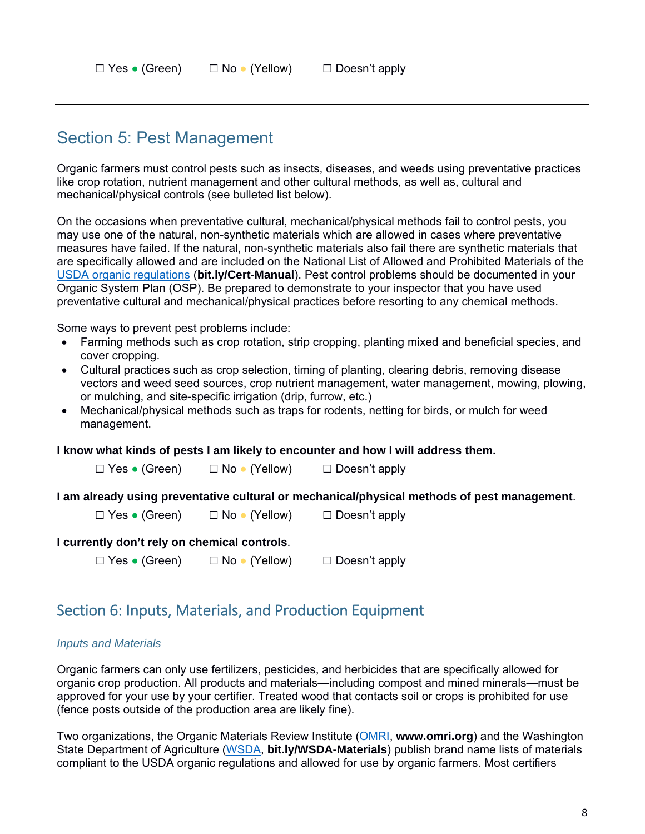## Section 5: Pest Management

Organic farmers must control pests such as insects, diseases, and weeds using preventative practices like crop rotation, nutrient management and other cultural methods, as well as, cultural and mechanical/physical controls (see bulleted list below).

On the occasions when preventative cultural, mechanical/physical methods fail to control pests, you may use one of the natural, non-synthetic materials which are allowed in cases where preventative measures have failed. If the natural, non-synthetic materials also fail there are synthetic materials that are specifically allowed and are included on the National List of Allowed and Prohibited Materials of the USDA organic regulations (**bit.ly/Cert-Manual**). Pest control problems should be documented in your Organic System Plan (OSP). Be prepared to demonstrate to your inspector that you have used preventative cultural and mechanical/physical practices before resorting to any chemical methods.

Some ways to prevent pest problems include:

- Farming methods such as crop rotation, strip cropping, planting mixed and beneficial species, and cover cropping.
- Cultural practices such as crop selection, timing of planting, clearing debris, removing disease vectors and weed seed sources, crop nutrient management, water management, mowing, plowing, or mulching, and site-specific irrigation (drip, furrow, etc.)
- Mechanical/physical methods such as traps for rodents, netting for birds, or mulch for weed management.

#### **I know what kinds of pests I am likely to encounter and how I will address them.**

 $\Box$  Yes • (Green)  $\Box$  No • (Yellow)  $\Box$  Doesn't apply

**I am already using preventative cultural or mechanical/physical methods of pest management**.

 $\square$  Yes  $\bullet$  (Green)  $\square$  No  $\bullet$  (Yellow)  $\square$  Doesn't apply

#### **I currently don't rely on chemical controls**.

 $\Box$  Yes • (Green)  $\Box$  No • (Yellow)  $\Box$  Doesn't apply

## Section 6: Inputs, Materials, and Production Equipment

#### *Inputs and Materials*

Organic farmers can only use fertilizers, pesticides, and herbicides that are specifically allowed for organic crop production. All products and materials—including compost and mined minerals—must be approved for your use by your certifier. Treated wood that contacts soil or crops is prohibited for use (fence posts outside of the production area are likely fine).

Two organizations, the Organic Materials Review Institute (OMRI, **www.omri.org**) and the Washington State Department of Agriculture (WSDA, **bit.ly/WSDA-Materials**) publish brand name lists of materials compliant to the USDA organic regulations and allowed for use by organic farmers. Most certifiers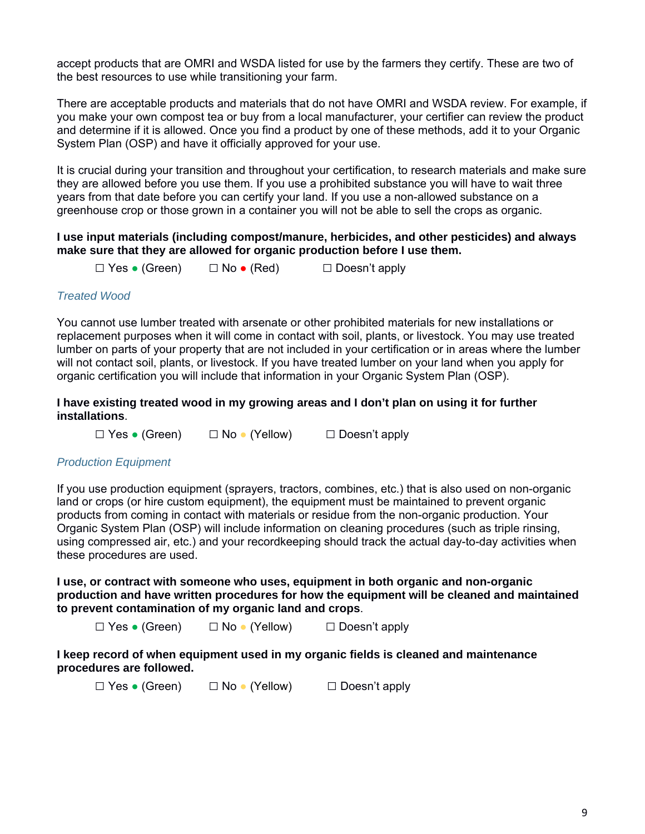accept products that are OMRI and WSDA listed for use by the farmers they certify. These are two of the best resources to use while transitioning your farm.

There are acceptable products and materials that do not have OMRI and WSDA review. For example, if you make your own compost tea or buy from a local manufacturer, your certifier can review the product and determine if it is allowed. Once you find a product by one of these methods, add it to your Organic System Plan (OSP) and have it officially approved for your use.

It is crucial during your transition and throughout your certification, to research materials and make sure they are allowed before you use them. If you use a prohibited substance you will have to wait three years from that date before you can certify your land. If you use a non-allowed substance on a greenhouse crop or those grown in a container you will not be able to sell the crops as organic.

#### **I use input materials (including compost/manure, herbicides, and other pesticides) and always make sure that they are allowed for organic production before I use them.**

 $\square$  Yes • (Green)  $\square$  No • (Red)  $\square$  Doesn't apply

#### *Treated Wood*

You cannot use lumber treated with arsenate or other prohibited materials for new installations or replacement purposes when it will come in contact with soil, plants, or livestock. You may use treated lumber on parts of your property that are not included in your certification or in areas where the lumber will not contact soil, plants, or livestock. If you have treated lumber on your land when you apply for organic certification you will include that information in your Organic System Plan (OSP).

#### **I have existing treated wood in my growing areas and I don't plan on using it for further installations**.

 $\Box$  Yes • (Green)  $\Box$  No • (Yellow)  $\Box$  Doesn't apply

#### *Production Equipment*

If you use production equipment (sprayers, tractors, combines, etc.) that is also used on non-organic land or crops (or hire custom equipment), the equipment must be maintained to prevent organic products from coming in contact with materials or residue from the non-organic production. Your Organic System Plan (OSP) will include information on cleaning procedures (such as triple rinsing, using compressed air, etc.) and your recordkeeping should track the actual day-to-day activities when these procedures are used.

**I use, or contract with someone who uses, equipment in both organic and non-organic production and have written procedures for how the equipment will be cleaned and maintained to prevent contamination of my organic land and crops**.

 $\Box$  Yes • (Green)  $\Box$  No • (Yellow)  $\Box$  Doesn't apply

**I keep record of when equipment used in my organic fields is cleaned and maintenance procedures are followed.** 

 $\Box$  Yes • (Green)  $\Box$  No • (Yellow)  $\Box$  Doesn't apply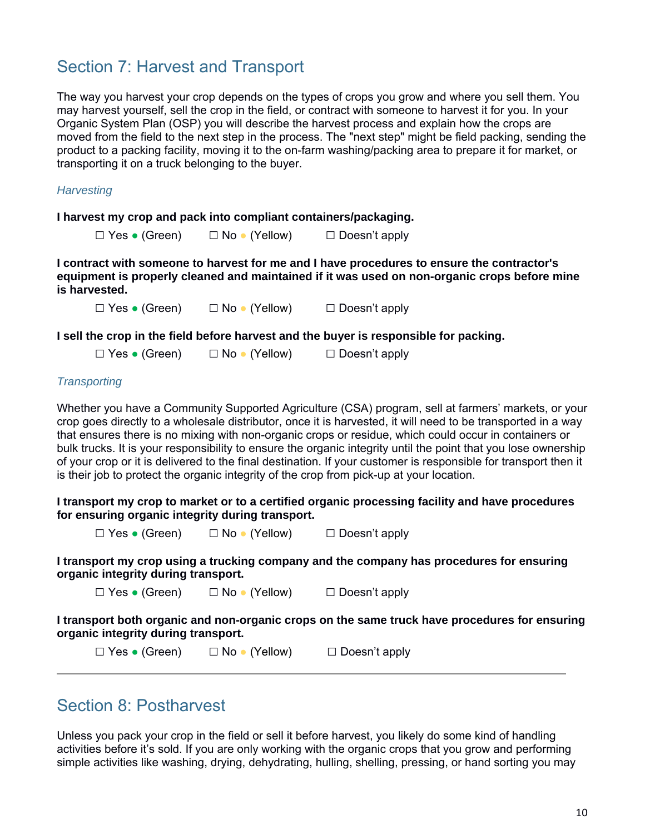## Section 7: Harvest and Transport

The way you harvest your crop depends on the types of crops you grow and where you sell them. You may harvest yourself, sell the crop in the field, or contract with someone to harvest it for you. In your Organic System Plan (OSP) you will describe the harvest process and explain how the crops are moved from the field to the next step in the process. The "next step" might be field packing, sending the product to a packing facility, moving it to the on-farm washing/packing area to prepare it for market, or transporting it on a truck belonging to the buyer.

#### *Harvesting*

**I harvest my crop and pack into compliant containers/packaging.** 

 $\Box$  Yes • (Green)  $\Box$  No • (Yellow)  $\Box$  Doesn't apply

**I contract with someone to harvest for me and I have procedures to ensure the contractor's equipment is properly cleaned and maintained if it was used on non-organic crops before mine is harvested.** 

 $\square$  Yes  $\bullet$  (Green)  $\square$  No  $\bullet$  (Yellow)  $\square$  Doesn't apply

**I sell the crop in the field before harvest and the buyer is responsible for packing.** 

 $\square$  Yes  $\bullet$  (Green)  $\square$  No  $\bullet$  (Yellow)  $\square$  Doesn't apply

#### *Transporting*

Whether you have a Community Supported Agriculture (CSA) program, sell at farmers' markets, or your crop goes directly to a wholesale distributor, once it is harvested, it will need to be transported in a way that ensures there is no mixing with non-organic crops or residue, which could occur in containers or bulk trucks. It is your responsibility to ensure the organic integrity until the point that you lose ownership of your crop or it is delivered to the final destination. If your customer is responsible for transport then it is their job to protect the organic integrity of the crop from pick-up at your location.

**I transport my crop to market or to a certified organic processing facility and have procedures for ensuring organic integrity during transport.**

 $\square$  Yes  $\bullet$  (Green)  $\square$  No  $\bullet$  (Yellow)  $\square$  Doesn't apply

**I transport my crop using a trucking company and the company has procedures for ensuring organic integrity during transport.** 

 $\square$  Yes  $\bullet$  (Green)  $\square$  No  $\bullet$  (Yellow)  $\square$  Doesn't apply

**I transport both organic and non-organic crops on the same truck have procedures for ensuring organic integrity during transport.**

 $\square$  Yes • (Green)  $\square$  No • (Yellow)  $\square$  Doesn't apply

## Section 8: Postharvest

Unless you pack your crop in the field or sell it before harvest, you likely do some kind of handling activities before it's sold. If you are only working with the organic crops that you grow and performing simple activities like washing, drying, dehydrating, hulling, shelling, pressing, or hand sorting you may